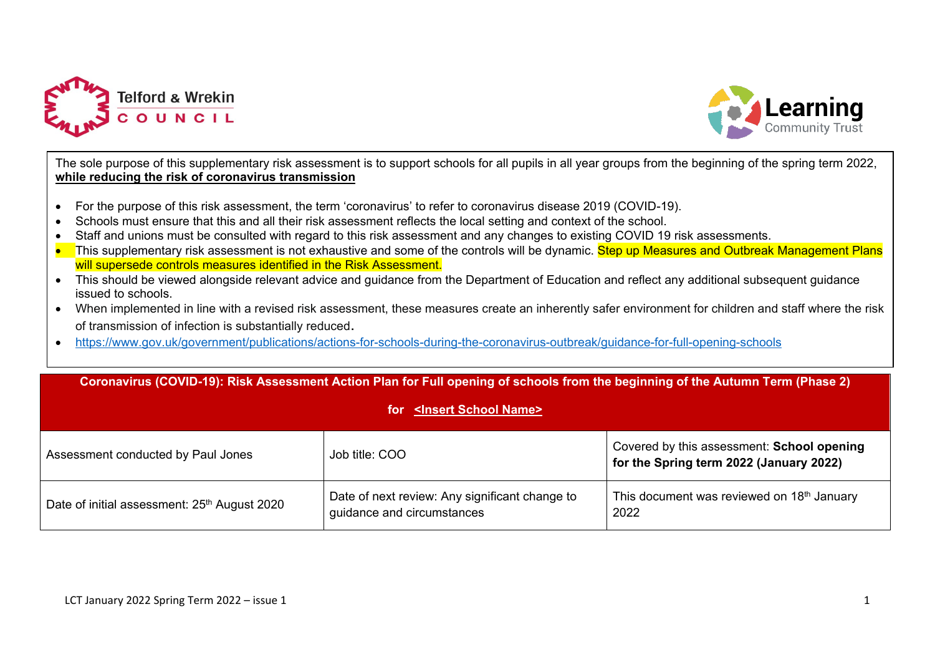



The sole purpose of this supplementary risk assessment is to support schools for all pupils in all year groups from the beginning of the spring term 2022, **while reducing the risk of coronavirus transmission**

- For the purpose of this risk assessment, the term 'coronavirus' to refer to coronavirus disease 2019 (COVID-19).
- Schools must ensure that this and all their risk assessment reflects the local setting and context of the school.
- Staff and unions must be consulted with regard to this risk assessment and any changes to existing COVID 19 risk assessments.
- This supplementary risk assessment is not exhaustive and some of the controls will be dynamic. Step up Measures and Outbreak Management Plans will supersede controls measures identified in the Risk Assessment.
- This should be viewed alongside relevant advice and guidance from the Department of Education and reflect any additional subsequent guidance issued to schools.
- When implemented in line with a revised risk assessment, these measures create an inherently safer environment for children and staff where the risk of transmission of infection is substantially reduced.
- <https://www.gov.uk/government/publications/actions-for-schools-during-the-coronavirus-outbreak/guidance-for-full-opening-schools>

| Coronavirus (COVID-19): Risk Assessment Action Plan for Full opening of schools from the beginning of the Autumn Term (Phase 2)<br>for <a>Sinsert School Name&gt;</a> |                                                                              |                                                                                       |  |  |  |  |  |  |
|-----------------------------------------------------------------------------------------------------------------------------------------------------------------------|------------------------------------------------------------------------------|---------------------------------------------------------------------------------------|--|--|--|--|--|--|
| Assessment conducted by Paul Jones                                                                                                                                    | Job title: COO                                                               | Covered by this assessment: School opening<br>for the Spring term 2022 (January 2022) |  |  |  |  |  |  |
| Date of initial assessment: 25 <sup>th</sup> August 2020                                                                                                              | Date of next review: Any significant change to<br>guidance and circumstances | This document was reviewed on 18 <sup>th</sup> January<br>2022                        |  |  |  |  |  |  |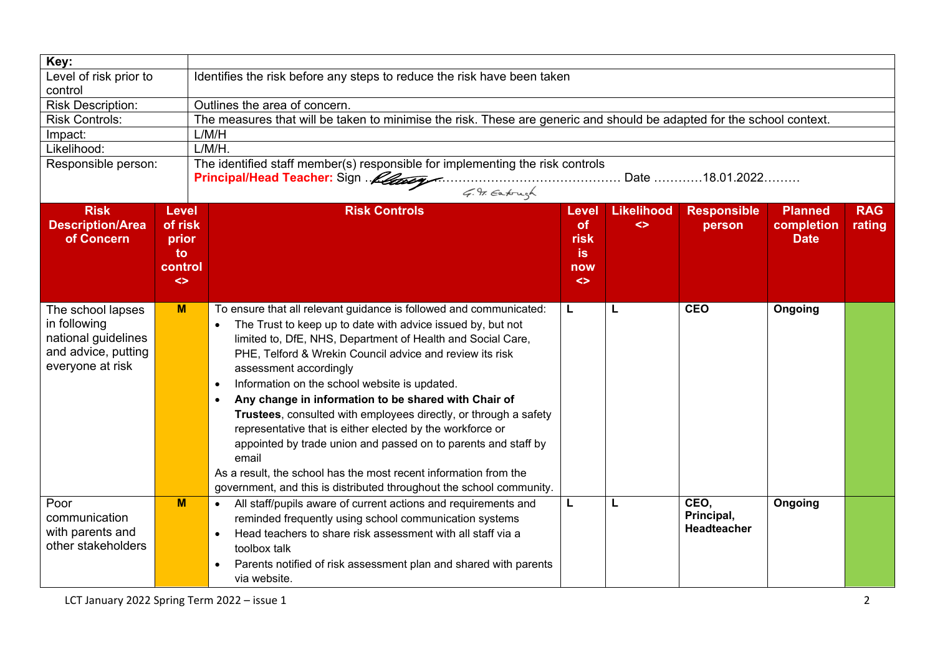| Key:                                                                                                |                                                                        |                                                                                                                                                                                                                                                                                                                                                                                                                                                                                                                                                                                                                                                                                                                                                                                                |                                                       |                        |                                   |                                      |                      |
|-----------------------------------------------------------------------------------------------------|------------------------------------------------------------------------|------------------------------------------------------------------------------------------------------------------------------------------------------------------------------------------------------------------------------------------------------------------------------------------------------------------------------------------------------------------------------------------------------------------------------------------------------------------------------------------------------------------------------------------------------------------------------------------------------------------------------------------------------------------------------------------------------------------------------------------------------------------------------------------------|-------------------------------------------------------|------------------------|-----------------------------------|--------------------------------------|----------------------|
| Level of risk prior to<br>control                                                                   |                                                                        | Identifies the risk before any steps to reduce the risk have been taken                                                                                                                                                                                                                                                                                                                                                                                                                                                                                                                                                                                                                                                                                                                        |                                                       |                        |                                   |                                      |                      |
| <b>Risk Description:</b>                                                                            |                                                                        | Outlines the area of concern.                                                                                                                                                                                                                                                                                                                                                                                                                                                                                                                                                                                                                                                                                                                                                                  |                                                       |                        |                                   |                                      |                      |
| <b>Risk Controls:</b>                                                                               |                                                                        | The measures that will be taken to minimise the risk. These are generic and should be adapted for the school context.                                                                                                                                                                                                                                                                                                                                                                                                                                                                                                                                                                                                                                                                          |                                                       |                        |                                   |                                      |                      |
| Impact:                                                                                             |                                                                        | L/M/H                                                                                                                                                                                                                                                                                                                                                                                                                                                                                                                                                                                                                                                                                                                                                                                          |                                                       |                        |                                   |                                      |                      |
| Likelihood:                                                                                         |                                                                        | $L/M/H$ .                                                                                                                                                                                                                                                                                                                                                                                                                                                                                                                                                                                                                                                                                                                                                                                      |                                                       |                        |                                   |                                      |                      |
| Responsible person:                                                                                 |                                                                        | The identified staff member(s) responsible for implementing the risk controls<br>Principal/Head Teacher: Sign Metapon Metapon Metapon Date  18.01.2022<br>G. F. Eatough                                                                                                                                                                                                                                                                                                                                                                                                                                                                                                                                                                                                                        |                                                       |                        |                                   |                                      |                      |
| <b>Risk</b><br><b>Description/Area</b><br>of Concern                                                | <b>Level</b><br>of risk<br>prior<br>to<br>control<br>$\leftrightarrow$ | <b>Risk Controls</b>                                                                                                                                                                                                                                                                                                                                                                                                                                                                                                                                                                                                                                                                                                                                                                           | Level<br>of<br>risk<br>is<br>now<br>$\leftrightarrow$ | <b>Likelihood</b><br>◇ | <b>Responsible</b><br>person      | Planned<br>completion<br><b>Date</b> | <b>RAG</b><br>rating |
| The school lapses<br>in following<br>national guidelines<br>and advice, putting<br>everyone at risk | M                                                                      | To ensure that all relevant guidance is followed and communicated:<br>The Trust to keep up to date with advice issued by, but not<br>$\bullet$<br>limited to, DfE, NHS, Department of Health and Social Care,<br>PHE, Telford & Wrekin Council advice and review its risk<br>assessment accordingly<br>Information on the school website is updated.<br>$\bullet$<br>Any change in information to be shared with Chair of<br>$\bullet$<br>Trustees, consulted with employees directly, or through a safety<br>representative that is either elected by the workforce or<br>appointed by trade union and passed on to parents and staff by<br>email<br>As a result, the school has the most recent information from the<br>government, and this is distributed throughout the school community. | L                                                     | L.                     | <b>CEO</b>                        | Ongoing                              |                      |
| Poor<br>communication<br>with parents and<br>other stakeholders                                     | M                                                                      | All staff/pupils aware of current actions and requirements and<br>$\bullet$<br>reminded frequently using school communication systems<br>Head teachers to share risk assessment with all staff via a<br>$\bullet$<br>toolbox talk<br>Parents notified of risk assessment plan and shared with parents<br>via website.                                                                                                                                                                                                                                                                                                                                                                                                                                                                          | L                                                     | L                      | CEO,<br>Principal,<br>Headteacher | Ongoing                              |                      |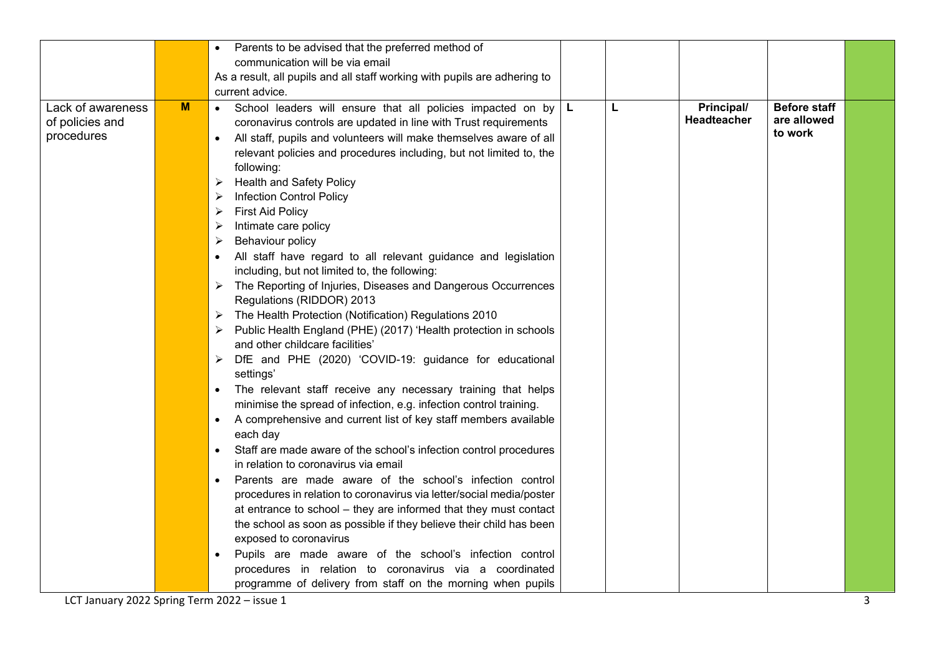|                   |   | Parents to be advised that the preferred method of                           |          |   |             |                     |  |
|-------------------|---|------------------------------------------------------------------------------|----------|---|-------------|---------------------|--|
|                   |   | communication will be via email                                              |          |   |             |                     |  |
|                   |   | As a result, all pupils and all staff working with pupils are adhering to    |          |   |             |                     |  |
|                   |   | current advice.                                                              |          |   |             |                     |  |
| Lack of awareness | M | School leaders will ensure that all policies impacted on by<br>$\bullet$     | <b>L</b> | L | Principal/  | <b>Before staff</b> |  |
| of policies and   |   | coronavirus controls are updated in line with Trust requirements             |          |   | Headteacher | are allowed         |  |
| procedures        |   | All staff, pupils and volunteers will make themselves aware of all           |          |   |             | to work             |  |
|                   |   | relevant policies and procedures including, but not limited to, the          |          |   |             |                     |  |
|                   |   | following:                                                                   |          |   |             |                     |  |
|                   |   | <b>Health and Safety Policy</b>                                              |          |   |             |                     |  |
|                   |   | <b>Infection Control Policy</b>                                              |          |   |             |                     |  |
|                   |   | <b>First Aid Policy</b>                                                      |          |   |             |                     |  |
|                   |   | Intimate care policy                                                         |          |   |             |                     |  |
|                   |   | Behaviour policy                                                             |          |   |             |                     |  |
|                   |   | All staff have regard to all relevant guidance and legislation               |          |   |             |                     |  |
|                   |   | including, but not limited to, the following:                                |          |   |             |                     |  |
|                   |   | The Reporting of Injuries, Diseases and Dangerous Occurrences                |          |   |             |                     |  |
|                   |   | Regulations (RIDDOR) 2013                                                    |          |   |             |                     |  |
|                   |   | The Health Protection (Notification) Regulations 2010                        |          |   |             |                     |  |
|                   |   | Public Health England (PHE) (2017) 'Health protection in schools             |          |   |             |                     |  |
|                   |   | and other childcare facilities'                                              |          |   |             |                     |  |
|                   |   | DfE and PHE (2020) 'COVID-19: guidance for educational                       |          |   |             |                     |  |
|                   |   | settings'                                                                    |          |   |             |                     |  |
|                   |   | The relevant staff receive any necessary training that helps                 |          |   |             |                     |  |
|                   |   | minimise the spread of infection, e.g. infection control training.           |          |   |             |                     |  |
|                   |   | A comprehensive and current list of key staff members available<br>$\bullet$ |          |   |             |                     |  |
|                   |   | each day                                                                     |          |   |             |                     |  |
|                   |   | Staff are made aware of the school's infection control procedures            |          |   |             |                     |  |
|                   |   | in relation to coronavirus via email                                         |          |   |             |                     |  |
|                   |   | Parents are made aware of the school's infection control                     |          |   |             |                     |  |
|                   |   | procedures in relation to coronavirus via letter/social media/poster         |          |   |             |                     |  |
|                   |   | at entrance to school - they are informed that they must contact             |          |   |             |                     |  |
|                   |   | the school as soon as possible if they believe their child has been          |          |   |             |                     |  |
|                   |   | exposed to coronavirus                                                       |          |   |             |                     |  |
|                   |   | Pupils are made aware of the school's infection control                      |          |   |             |                     |  |
|                   |   | procedures in relation to coronavirus via a coordinated                      |          |   |             |                     |  |
|                   |   | programme of delivery from staff on the morning when pupils                  |          |   |             |                     |  |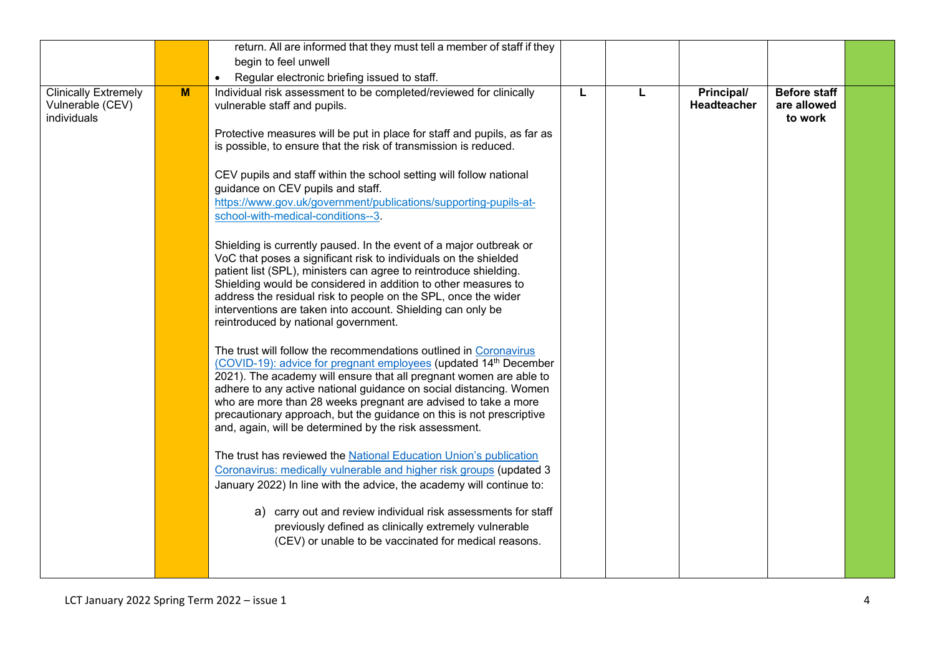|                                                                |   | return. All are informed that they must tell a member of staff if they                                                                                                                                                                                                                                                                                                                                                                                                                |   |   |                           |                                               |  |
|----------------------------------------------------------------|---|---------------------------------------------------------------------------------------------------------------------------------------------------------------------------------------------------------------------------------------------------------------------------------------------------------------------------------------------------------------------------------------------------------------------------------------------------------------------------------------|---|---|---------------------------|-----------------------------------------------|--|
|                                                                |   | begin to feel unwell                                                                                                                                                                                                                                                                                                                                                                                                                                                                  |   |   |                           |                                               |  |
|                                                                |   | Regular electronic briefing issued to staff.<br>$\bullet$                                                                                                                                                                                                                                                                                                                                                                                                                             |   |   |                           |                                               |  |
| <b>Clinically Extremely</b><br>Vulnerable (CEV)<br>individuals | M | Individual risk assessment to be completed/reviewed for clinically<br>vulnerable staff and pupils.<br>Protective measures will be put in place for staff and pupils, as far as<br>is possible, to ensure that the risk of transmission is reduced.                                                                                                                                                                                                                                    | L | L | Principal/<br>Headteacher | <b>Before staff</b><br>are allowed<br>to work |  |
|                                                                |   | CEV pupils and staff within the school setting will follow national<br>guidance on CEV pupils and staff.<br>https://www.gov.uk/government/publications/supporting-pupils-at-<br>school-with-medical-conditions--3.                                                                                                                                                                                                                                                                    |   |   |                           |                                               |  |
|                                                                |   | Shielding is currently paused. In the event of a major outbreak or<br>VoC that poses a significant risk to individuals on the shielded<br>patient list (SPL), ministers can agree to reintroduce shielding.<br>Shielding would be considered in addition to other measures to<br>address the residual risk to people on the SPL, once the wider<br>interventions are taken into account. Shielding can only be<br>reintroduced by national government.                                |   |   |                           |                                               |  |
|                                                                |   | The trust will follow the recommendations outlined in Coronavirus<br>(COVID-19): advice for pregnant employees (updated 14th December<br>2021). The academy will ensure that all pregnant women are able to<br>adhere to any active national guidance on social distancing. Women<br>who are more than 28 weeks pregnant are advised to take a more<br>precautionary approach, but the guidance on this is not prescriptive<br>and, again, will be determined by the risk assessment. |   |   |                           |                                               |  |
|                                                                |   | The trust has reviewed the National Education Union's publication<br>Coronavirus: medically vulnerable and higher risk groups (updated 3<br>January 2022) In line with the advice, the academy will continue to:                                                                                                                                                                                                                                                                      |   |   |                           |                                               |  |
|                                                                |   | a) carry out and review individual risk assessments for staff<br>previously defined as clinically extremely vulnerable<br>(CEV) or unable to be vaccinated for medical reasons.                                                                                                                                                                                                                                                                                                       |   |   |                           |                                               |  |
|                                                                |   |                                                                                                                                                                                                                                                                                                                                                                                                                                                                                       |   |   |                           |                                               |  |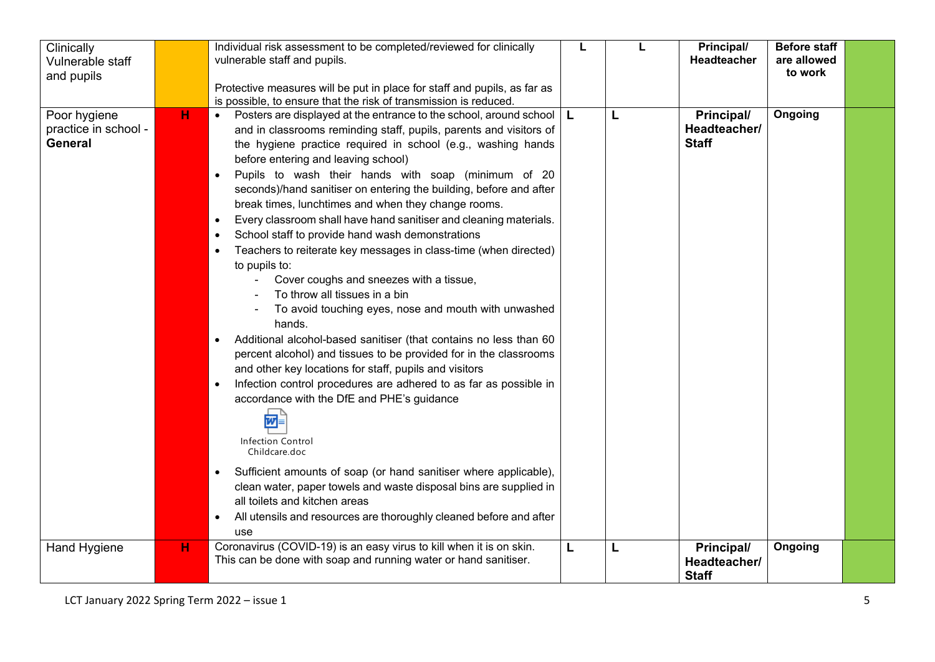| Clinically<br>Vulnerable staff<br>and pupils    |   | Individual risk assessment to be completed/reviewed for clinically<br>vulnerable staff and pupils.<br>Protective measures will be put in place for staff and pupils, as far as<br>is possible, to ensure that the risk of transmission is reduced.                                                                                                                                                                                                                                                                                                                                                                                                                                                                                                                                                                                                                                                                                                                                                                                                                                                                                                                                                                                                                                                                                                                                                                                                                                                                  | L  |   | Principal/<br>Headteacher                  | <b>Before staff</b><br>are allowed<br>to work |  |
|-------------------------------------------------|---|---------------------------------------------------------------------------------------------------------------------------------------------------------------------------------------------------------------------------------------------------------------------------------------------------------------------------------------------------------------------------------------------------------------------------------------------------------------------------------------------------------------------------------------------------------------------------------------------------------------------------------------------------------------------------------------------------------------------------------------------------------------------------------------------------------------------------------------------------------------------------------------------------------------------------------------------------------------------------------------------------------------------------------------------------------------------------------------------------------------------------------------------------------------------------------------------------------------------------------------------------------------------------------------------------------------------------------------------------------------------------------------------------------------------------------------------------------------------------------------------------------------------|----|---|--------------------------------------------|-----------------------------------------------|--|
| Poor hygiene<br>practice in school -<br>General | н | Posters are displayed at the entrance to the school, around school<br>$\bullet$<br>and in classrooms reminding staff, pupils, parents and visitors of<br>the hygiene practice required in school (e.g., washing hands<br>before entering and leaving school)<br>Pupils to wash their hands with soap (minimum of 20<br>$\bullet$<br>seconds)/hand sanitiser on entering the building, before and after<br>break times, lunchtimes and when they change rooms.<br>Every classroom shall have hand sanitiser and cleaning materials.<br>$\bullet$<br>School staff to provide hand wash demonstrations<br>$\bullet$<br>Teachers to reiterate key messages in class-time (when directed)<br>to pupils to:<br>Cover coughs and sneezes with a tissue,<br>To throw all tissues in a bin<br>To avoid touching eyes, nose and mouth with unwashed<br>hands.<br>Additional alcohol-based sanitiser (that contains no less than 60<br>$\bullet$<br>percent alcohol) and tissues to be provided for in the classrooms<br>and other key locations for staff, pupils and visitors<br>Infection control procedures are adhered to as far as possible in<br>$\bullet$<br>accordance with the DfE and PHE's guidance<br>?<br>Infection Control<br>Childcare.doc<br>Sufficient amounts of soap (or hand sanitiser where applicable),<br>$\bullet$<br>clean water, paper towels and waste disposal bins are supplied in<br>all toilets and kitchen areas<br>All utensils and resources are thoroughly cleaned before and after<br>use | L. | L | Principal/<br>Headteacher/<br><b>Staff</b> | Ongoing                                       |  |
| <b>Hand Hygiene</b>                             | H | Coronavirus (COVID-19) is an easy virus to kill when it is on skin.<br>This can be done with soap and running water or hand sanitiser.                                                                                                                                                                                                                                                                                                                                                                                                                                                                                                                                                                                                                                                                                                                                                                                                                                                                                                                                                                                                                                                                                                                                                                                                                                                                                                                                                                              | L  | L | Principal/<br>Headteacher/<br><b>Staff</b> | Ongoing                                       |  |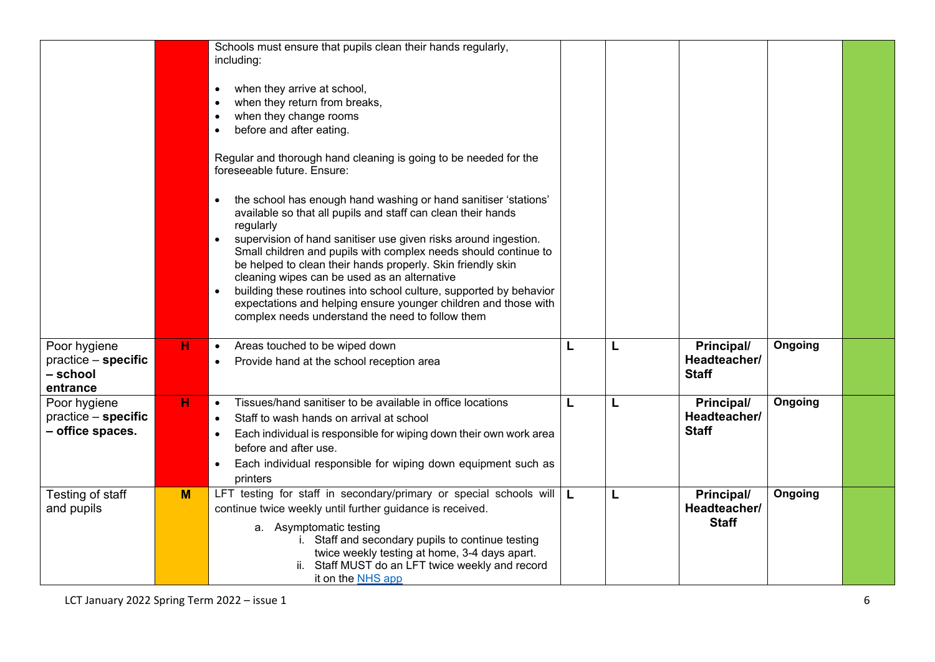|                                                             |   | Schools must ensure that pupils clean their hands regularly,<br>including:<br>when they arrive at school,<br>when they return from breaks,<br>when they change rooms<br>before and after eating.<br>Regular and thorough hand cleaning is going to be needed for the<br>foreseeable future. Ensure:<br>the school has enough hand washing or hand sanitiser 'stations'<br>available so that all pupils and staff can clean their hands<br>regularly<br>supervision of hand sanitiser use given risks around ingestion.<br>Small children and pupils with complex needs should continue to<br>be helped to clean their hands properly. Skin friendly skin<br>cleaning wipes can be used as an alternative<br>building these routines into school culture, supported by behavior<br>expectations and helping ensure younger children and those with<br>complex needs understand the need to follow them |   |   |                                            |         |  |
|-------------------------------------------------------------|---|-------------------------------------------------------------------------------------------------------------------------------------------------------------------------------------------------------------------------------------------------------------------------------------------------------------------------------------------------------------------------------------------------------------------------------------------------------------------------------------------------------------------------------------------------------------------------------------------------------------------------------------------------------------------------------------------------------------------------------------------------------------------------------------------------------------------------------------------------------------------------------------------------------|---|---|--------------------------------------------|---------|--|
| Poor hygiene<br>practice - specific<br>- school<br>entrance | н | Areas touched to be wiped down<br>$\bullet$<br>Provide hand at the school reception area                                                                                                                                                                                                                                                                                                                                                                                                                                                                                                                                                                                                                                                                                                                                                                                                              | L | L | Principal/<br>Headteacher/<br><b>Staff</b> | Ongoing |  |
| Poor hygiene<br>practice - specific<br>- office spaces.     | H | Tissues/hand sanitiser to be available in office locations<br>$\bullet$<br>Staff to wash hands on arrival at school<br>Each individual is responsible for wiping down their own work area<br>before and after use.<br>Each individual responsible for wiping down equipment such as<br>printers                                                                                                                                                                                                                                                                                                                                                                                                                                                                                                                                                                                                       | L | L | Principal/<br>Headteacher/<br><b>Staff</b> | Ongoing |  |
| Testing of staff<br>and pupils                              | M | LFT testing for staff in secondary/primary or special schools will $\boxed{\mathsf{L}}$<br>continue twice weekly until further guidance is received.<br>a. Asymptomatic testing<br>i. Staff and secondary pupils to continue testing<br>twice weekly testing at home, 3-4 days apart.<br>ii. Staff MUST do an LFT twice weekly and record<br>it on the NHS app                                                                                                                                                                                                                                                                                                                                                                                                                                                                                                                                        |   | L | Principal/<br>Headteacher/<br><b>Staff</b> | Ongoing |  |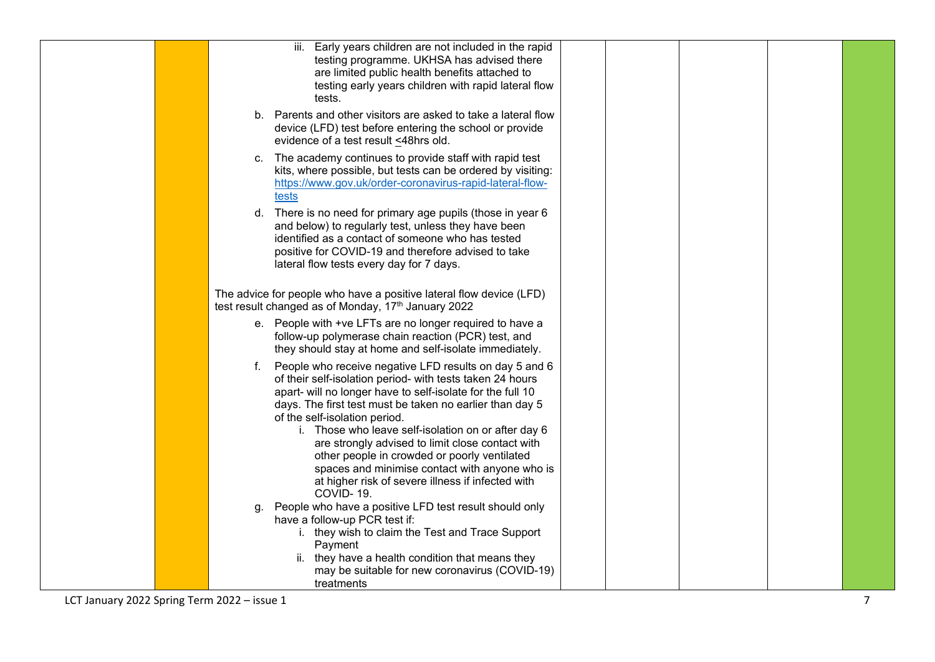|  | iii. Early years children are not included in the rapid                                                                   |  |
|--|---------------------------------------------------------------------------------------------------------------------------|--|
|  | testing programme. UKHSA has advised there<br>are limited public health benefits attached to                              |  |
|  | testing early years children with rapid lateral flow                                                                      |  |
|  | tests.                                                                                                                    |  |
|  | b. Parents and other visitors are asked to take a lateral flow<br>device (LFD) test before entering the school or provide |  |
|  | evidence of a test result <48hrs old.                                                                                     |  |
|  | c. The academy continues to provide staff with rapid test                                                                 |  |
|  | kits, where possible, but tests can be ordered by visiting:<br>https://www.gov.uk/order-coronavirus-rapid-lateral-flow-   |  |
|  | tests                                                                                                                     |  |
|  | d. There is no need for primary age pupils (those in year 6                                                               |  |
|  | and below) to regularly test, unless they have been<br>identified as a contact of someone who has tested                  |  |
|  | positive for COVID-19 and therefore advised to take                                                                       |  |
|  | lateral flow tests every day for 7 days.                                                                                  |  |
|  | The advice for people who have a positive lateral flow device (LFD)                                                       |  |
|  | test result changed as of Monday, 17th January 2022                                                                       |  |
|  | e. People with +ve LFTs are no longer required to have a                                                                  |  |
|  | follow-up polymerase chain reaction (PCR) test, and<br>they should stay at home and self-isolate immediately.             |  |
|  | f. People who receive negative LFD results on day 5 and 6                                                                 |  |
|  | of their self-isolation period- with tests taken 24 hours<br>apart- will no longer have to self-isolate for the full 10   |  |
|  | days. The first test must be taken no earlier than day 5                                                                  |  |
|  | of the self-isolation period.                                                                                             |  |
|  | i. Those who leave self-isolation on or after day 6<br>are strongly advised to limit close contact with                   |  |
|  | other people in crowded or poorly ventilated                                                                              |  |
|  | spaces and minimise contact with anyone who is<br>at higher risk of severe illness if infected with                       |  |
|  | COVID-19.                                                                                                                 |  |
|  | People who have a positive LFD test result should only<br>q.<br>have a follow-up PCR test if:                             |  |
|  | i. they wish to claim the Test and Trace Support                                                                          |  |
|  | Payment                                                                                                                   |  |
|  | ii. they have a health condition that means they<br>may be suitable for new coronavirus (COVID-19)                        |  |
|  | treatments                                                                                                                |  |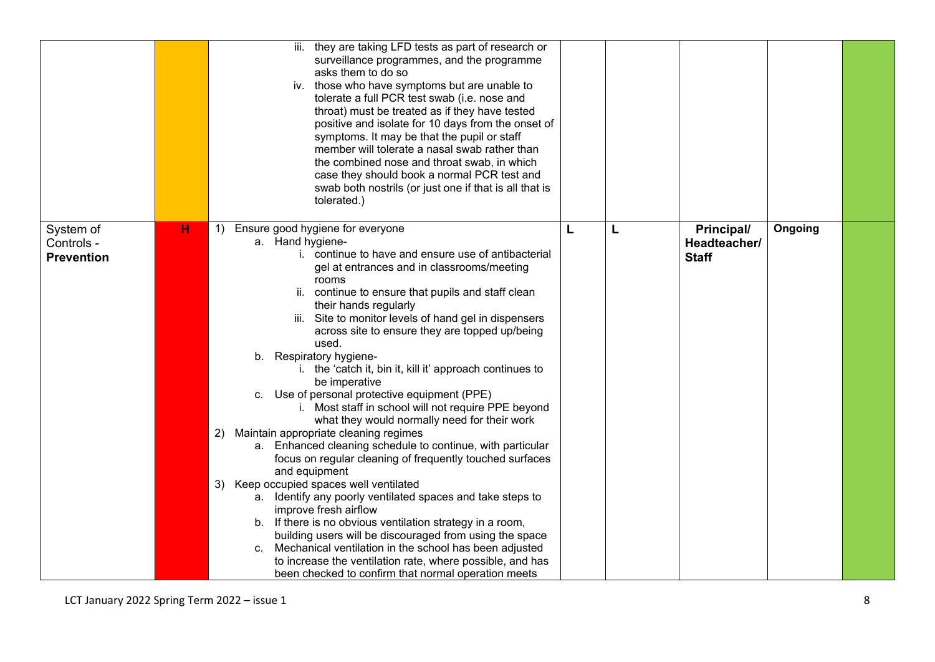|                                              |   | iii. they are taking LFD tests as part of research or<br>surveillance programmes, and the programme<br>asks them to do so<br>iv. those who have symptoms but are unable to<br>tolerate a full PCR test swab (i.e. nose and<br>throat) must be treated as if they have tested<br>positive and isolate for 10 days from the onset of<br>symptoms. It may be that the pupil or staff<br>member will tolerate a nasal swab rather than<br>the combined nose and throat swab, in which<br>case they should book a normal PCR test and<br>swab both nostrils (or just one if that is all that is<br>tolerated.)                                                                                                                                                                                                                                                                                                                                                                                                                                                                                                                                                                                                                                                                              |   |   |                                            |         |  |
|----------------------------------------------|---|----------------------------------------------------------------------------------------------------------------------------------------------------------------------------------------------------------------------------------------------------------------------------------------------------------------------------------------------------------------------------------------------------------------------------------------------------------------------------------------------------------------------------------------------------------------------------------------------------------------------------------------------------------------------------------------------------------------------------------------------------------------------------------------------------------------------------------------------------------------------------------------------------------------------------------------------------------------------------------------------------------------------------------------------------------------------------------------------------------------------------------------------------------------------------------------------------------------------------------------------------------------------------------------|---|---|--------------------------------------------|---------|--|
| System of<br>Controls -<br><b>Prevention</b> | н | Ensure good hygiene for everyone<br>1)<br>a. Hand hygiene-<br>i. continue to have and ensure use of antibacterial<br>gel at entrances and in classrooms/meeting<br>rooms<br>ii. continue to ensure that pupils and staff clean<br>their hands regularly<br>iii. Site to monitor levels of hand gel in dispensers<br>across site to ensure they are topped up/being<br>used.<br>b. Respiratory hygiene-<br>i. the 'catch it, bin it, kill it' approach continues to<br>be imperative<br>c. Use of personal protective equipment (PPE)<br>i. Most staff in school will not require PPE beyond<br>what they would normally need for their work<br>Maintain appropriate cleaning regimes<br>2)<br>a. Enhanced cleaning schedule to continue, with particular<br>focus on regular cleaning of frequently touched surfaces<br>and equipment<br>3)<br>Keep occupied spaces well ventilated<br>a. Identify any poorly ventilated spaces and take steps to<br>improve fresh airflow<br>b. If there is no obvious ventilation strategy in a room,<br>building users will be discouraged from using the space<br>Mechanical ventilation in the school has been adjusted<br>C.<br>to increase the ventilation rate, where possible, and has<br>been checked to confirm that normal operation meets | L | L | Principal/<br>Headteacher/<br><b>Staff</b> | Ongoing |  |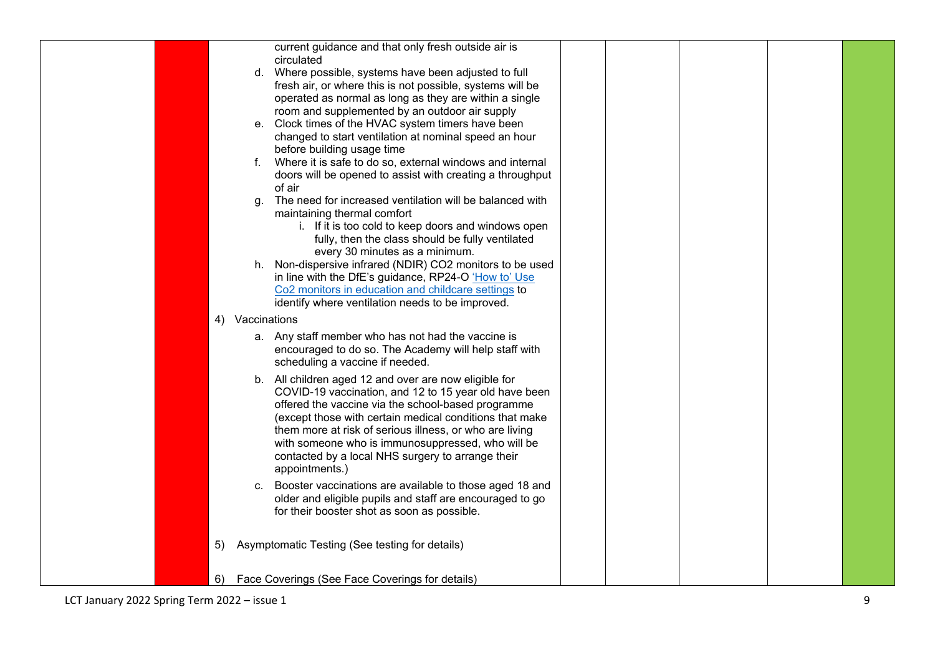|  |    |                 | current guidance and that only fresh outside air is       |  |  |  |
|--|----|-----------------|-----------------------------------------------------------|--|--|--|
|  |    |                 | circulated                                                |  |  |  |
|  |    |                 | d. Where possible, systems have been adjusted to full     |  |  |  |
|  |    |                 | fresh air, or where this is not possible, systems will be |  |  |  |
|  |    |                 | operated as normal as long as they are within a single    |  |  |  |
|  |    |                 | room and supplemented by an outdoor air supply            |  |  |  |
|  |    |                 | e. Clock times of the HVAC system timers have been        |  |  |  |
|  |    |                 | changed to start ventilation at nominal speed an hour     |  |  |  |
|  |    |                 | before building usage time                                |  |  |  |
|  |    | f.              | Where it is safe to do so, external windows and internal  |  |  |  |
|  |    |                 | doors will be opened to assist with creating a throughput |  |  |  |
|  |    |                 | of air                                                    |  |  |  |
|  |    | a.              | The need for increased ventilation will be balanced with  |  |  |  |
|  |    |                 | maintaining thermal comfort                               |  |  |  |
|  |    |                 | i. If it is too cold to keep doors and windows open       |  |  |  |
|  |    |                 | fully, then the class should be fully ventilated          |  |  |  |
|  |    |                 | every 30 minutes as a minimum.                            |  |  |  |
|  |    |                 | h. Non-dispersive infrared (NDIR) CO2 monitors to be used |  |  |  |
|  |    |                 | in line with the DfE's guidance, RP24-O 'How to' Use      |  |  |  |
|  |    |                 | Co2 monitors in education and childcare settings to       |  |  |  |
|  |    |                 | identify where ventilation needs to be improved.          |  |  |  |
|  |    | 4) Vaccinations |                                                           |  |  |  |
|  |    |                 | a. Any staff member who has not had the vaccine is        |  |  |  |
|  |    |                 | encouraged to do so. The Academy will help staff with     |  |  |  |
|  |    |                 | scheduling a vaccine if needed.                           |  |  |  |
|  |    |                 | b. All children aged 12 and over are now eligible for     |  |  |  |
|  |    |                 | COVID-19 vaccination, and 12 to 15 year old have been     |  |  |  |
|  |    |                 | offered the vaccine via the school-based programme        |  |  |  |
|  |    |                 | (except those with certain medical conditions that make   |  |  |  |
|  |    |                 | them more at risk of serious illness, or who are living   |  |  |  |
|  |    |                 | with someone who is immunosuppressed, who will be         |  |  |  |
|  |    |                 | contacted by a local NHS surgery to arrange their         |  |  |  |
|  |    |                 | appointments.)                                            |  |  |  |
|  |    |                 |                                                           |  |  |  |
|  |    | C.              | Booster vaccinations are available to those aged 18 and   |  |  |  |
|  |    |                 | older and eligible pupils and staff are encouraged to go  |  |  |  |
|  |    |                 | for their booster shot as soon as possible.               |  |  |  |
|  |    |                 |                                                           |  |  |  |
|  | 5) |                 | Asymptomatic Testing (See testing for details)            |  |  |  |
|  |    |                 |                                                           |  |  |  |
|  |    |                 |                                                           |  |  |  |
|  | 6) |                 | Face Coverings (See Face Coverings for details)           |  |  |  |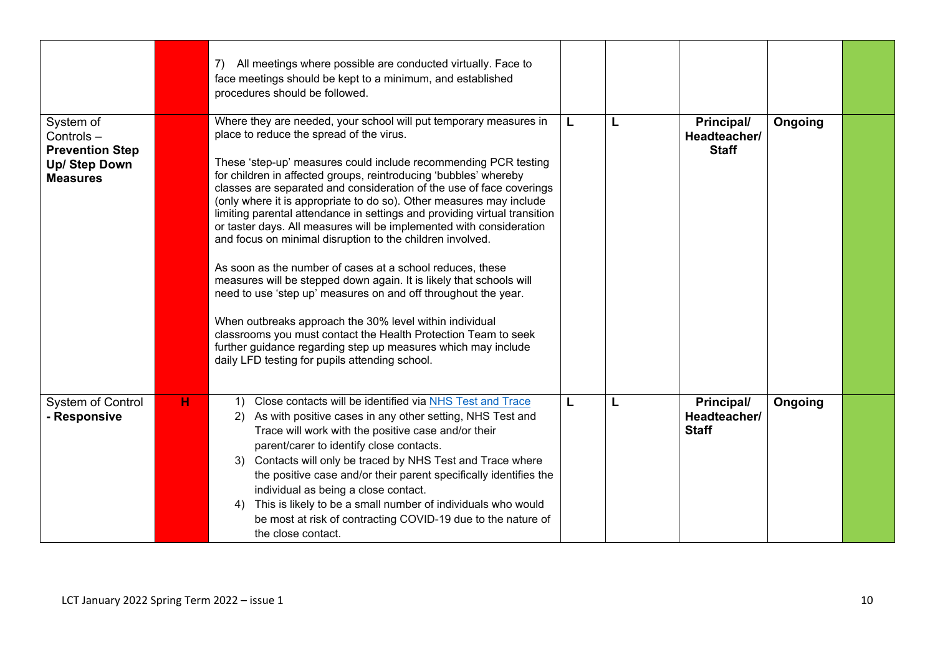|                                                                                             |   | 7) All meetings where possible are conducted virtually. Face to<br>face meetings should be kept to a minimum, and established<br>procedures should be followed.                                                                                                                                                                                                                                                                                                                                                                                                                                                                                                                                                                                                                                                                                                                                                                                                                                                                                                            |   |   |                                            |         |  |
|---------------------------------------------------------------------------------------------|---|----------------------------------------------------------------------------------------------------------------------------------------------------------------------------------------------------------------------------------------------------------------------------------------------------------------------------------------------------------------------------------------------------------------------------------------------------------------------------------------------------------------------------------------------------------------------------------------------------------------------------------------------------------------------------------------------------------------------------------------------------------------------------------------------------------------------------------------------------------------------------------------------------------------------------------------------------------------------------------------------------------------------------------------------------------------------------|---|---|--------------------------------------------|---------|--|
| System of<br>Controls-<br><b>Prevention Step</b><br><b>Up/ Step Down</b><br><b>Measures</b> |   | Where they are needed, your school will put temporary measures in<br>place to reduce the spread of the virus.<br>These 'step-up' measures could include recommending PCR testing<br>for children in affected groups, reintroducing 'bubbles' whereby<br>classes are separated and consideration of the use of face coverings<br>(only where it is appropriate to do so). Other measures may include<br>limiting parental attendance in settings and providing virtual transition<br>or taster days. All measures will be implemented with consideration<br>and focus on minimal disruption to the children involved.<br>As soon as the number of cases at a school reduces, these<br>measures will be stepped down again. It is likely that schools will<br>need to use 'step up' measures on and off throughout the year.<br>When outbreaks approach the 30% level within individual<br>classrooms you must contact the Health Protection Team to seek<br>further guidance regarding step up measures which may include<br>daily LFD testing for pupils attending school. | L | L | Principal/<br>Headteacher/<br><b>Staff</b> | Ongoing |  |
| <b>System of Control</b><br>- Responsive                                                    | H | Close contacts will be identified via NHS Test and Trace<br>1)<br>As with positive cases in any other setting, NHS Test and<br>2)<br>Trace will work with the positive case and/or their<br>parent/carer to identify close contacts.<br>3) Contacts will only be traced by NHS Test and Trace where<br>the positive case and/or their parent specifically identifies the<br>individual as being a close contact.<br>This is likely to be a small number of individuals who would<br>4)<br>be most at risk of contracting COVID-19 due to the nature of<br>the close contact.                                                                                                                                                                                                                                                                                                                                                                                                                                                                                               | L | L | Principal/<br>Headteacher/<br><b>Staff</b> | Ongoing |  |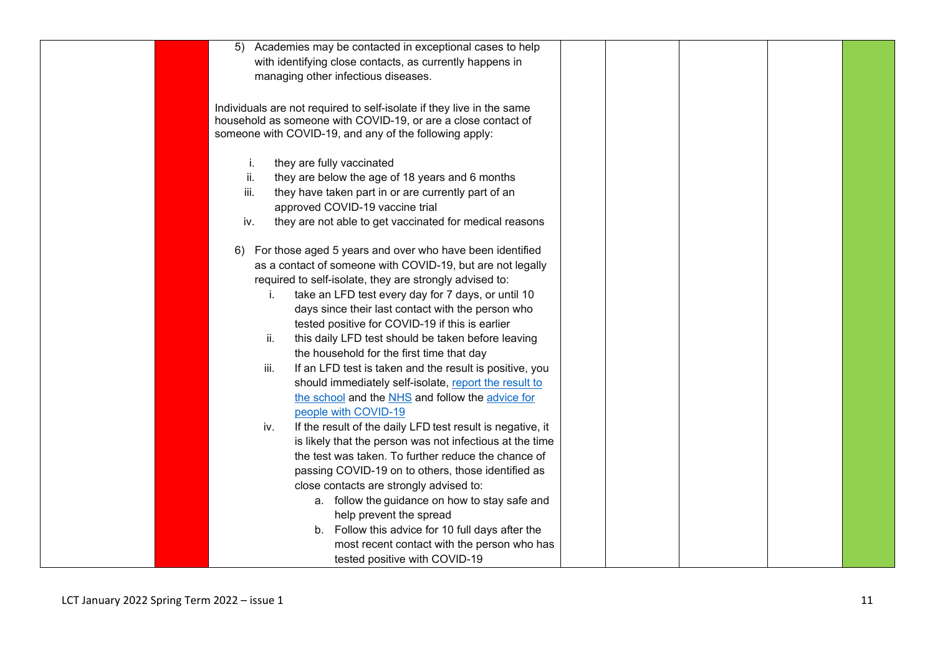| 5) Academies may be contacted in exceptional cases to help            |  |  |
|-----------------------------------------------------------------------|--|--|
| with identifying close contacts, as currently happens in              |  |  |
| managing other infectious diseases.                                   |  |  |
|                                                                       |  |  |
| Individuals are not required to self-isolate if they live in the same |  |  |
| household as someone with COVID-19, or are a close contact of         |  |  |
| someone with COVID-19, and any of the following apply:                |  |  |
|                                                                       |  |  |
| they are fully vaccinated<br>i.                                       |  |  |
| ii.<br>they are below the age of 18 years and 6 months                |  |  |
| iii.<br>they have taken part in or are currently part of an           |  |  |
| approved COVID-19 vaccine trial                                       |  |  |
| they are not able to get vaccinated for medical reasons<br>iv.        |  |  |
|                                                                       |  |  |
| 6) For those aged 5 years and over who have been identified           |  |  |
| as a contact of someone with COVID-19, but are not legally            |  |  |
| required to self-isolate, they are strongly advised to:               |  |  |
| take an LFD test every day for 7 days, or until 10<br>i.              |  |  |
| days since their last contact with the person who                     |  |  |
| tested positive for COVID-19 if this is earlier                       |  |  |
| ii.<br>this daily LFD test should be taken before leaving             |  |  |
| the household for the first time that day                             |  |  |
| If an LFD test is taken and the result is positive, you<br>iii.       |  |  |
| should immediately self-isolate, report the result to                 |  |  |
| the school and the NHS and follow the advice for                      |  |  |
| people with COVID-19                                                  |  |  |
| If the result of the daily LFD test result is negative, it<br>iv.     |  |  |
| is likely that the person was not infectious at the time              |  |  |
| the test was taken. To further reduce the chance of                   |  |  |
| passing COVID-19 on to others, those identified as                    |  |  |
| close contacts are strongly advised to:                               |  |  |
| a. follow the guidance on how to stay safe and                        |  |  |
| help prevent the spread                                               |  |  |
| b. Follow this advice for 10 full days after the                      |  |  |
| most recent contact with the person who has                           |  |  |
| tested positive with COVID-19                                         |  |  |
|                                                                       |  |  |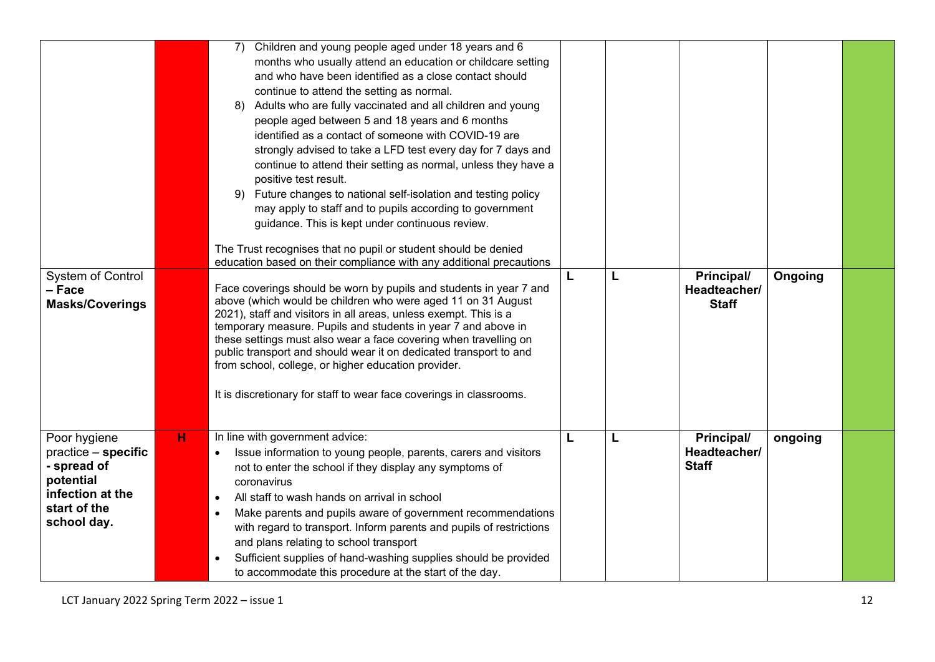|                                                                                                                    |   | Children and young people aged under 18 years and 6<br>7)<br>months who usually attend an education or childcare setting<br>and who have been identified as a close contact should<br>continue to attend the setting as normal.<br>Adults who are fully vaccinated and all children and young<br>8)<br>people aged between 5 and 18 years and 6 months<br>identified as a contact of someone with COVID-19 are<br>strongly advised to take a LFD test every day for 7 days and<br>continue to attend their setting as normal, unless they have a<br>positive test result.<br>Future changes to national self-isolation and testing policy<br>9)<br>may apply to staff and to pupils according to government<br>guidance. This is kept under continuous review.<br>The Trust recognises that no pupil or student should be denied<br>education based on their compliance with any additional precautions |   |   |                                            |         |  |
|--------------------------------------------------------------------------------------------------------------------|---|---------------------------------------------------------------------------------------------------------------------------------------------------------------------------------------------------------------------------------------------------------------------------------------------------------------------------------------------------------------------------------------------------------------------------------------------------------------------------------------------------------------------------------------------------------------------------------------------------------------------------------------------------------------------------------------------------------------------------------------------------------------------------------------------------------------------------------------------------------------------------------------------------------|---|---|--------------------------------------------|---------|--|
| <b>System of Control</b><br>- Face<br><b>Masks/Coverings</b>                                                       |   | Face coverings should be worn by pupils and students in year 7 and<br>above (which would be children who were aged 11 on 31 August<br>2021), staff and visitors in all areas, unless exempt. This is a<br>temporary measure. Pupils and students in year 7 and above in<br>these settings must also wear a face covering when travelling on<br>public transport and should wear it on dedicated transport to and<br>from school, college, or higher education provider.<br>It is discretionary for staff to wear face coverings in classrooms.                                                                                                                                                                                                                                                                                                                                                          | L | L | Principal/<br>Headteacher/<br><b>Staff</b> | Ongoing |  |
| Poor hygiene<br>practice - specific<br>- spread of<br>potential<br>infection at the<br>start of the<br>school day. | н | In line with government advice:<br>Issue information to young people, parents, carers and visitors<br>not to enter the school if they display any symptoms of<br>coronavirus<br>All staff to wash hands on arrival in school<br>$\bullet$<br>Make parents and pupils aware of government recommendations<br>$\bullet$<br>with regard to transport. Inform parents and pupils of restrictions<br>and plans relating to school transport<br>Sufficient supplies of hand-washing supplies should be provided<br>to accommodate this procedure at the start of the day.                                                                                                                                                                                                                                                                                                                                     | L | L | Principal/<br>Headteacher/<br><b>Staff</b> | ongoing |  |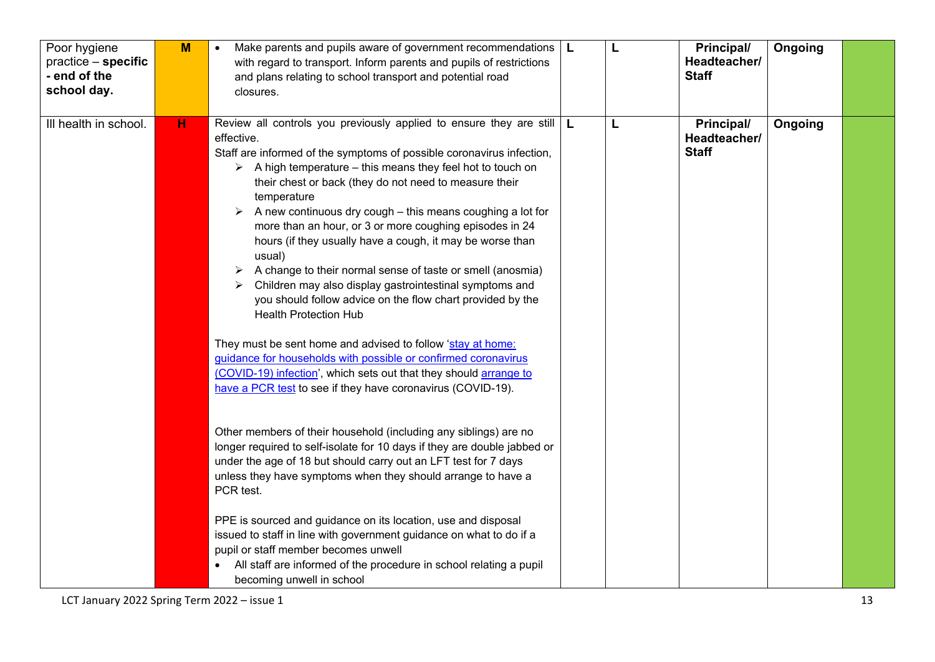| Poor hygiene<br>practice - specific<br>- end of the<br>school day. | M | Make parents and pupils aware of government recommendations $ L $<br>$\bullet$<br>with regard to transport. Inform parents and pupils of restrictions<br>and plans relating to school transport and potential road<br>closures.                                                                                                                                                                                                                                                                                                                                                                                                                                                                                                                                                                                                                                                                                                                                                                                                   | L | <b>Principal/</b><br>Headteacher/<br><b>Staff</b> | Ongoing |  |
|--------------------------------------------------------------------|---|-----------------------------------------------------------------------------------------------------------------------------------------------------------------------------------------------------------------------------------------------------------------------------------------------------------------------------------------------------------------------------------------------------------------------------------------------------------------------------------------------------------------------------------------------------------------------------------------------------------------------------------------------------------------------------------------------------------------------------------------------------------------------------------------------------------------------------------------------------------------------------------------------------------------------------------------------------------------------------------------------------------------------------------|---|---------------------------------------------------|---------|--|
| III health in school.                                              | н | Review all controls you previously applied to ensure they are still $\vert$ L<br>effective.<br>Staff are informed of the symptoms of possible coronavirus infection,<br>$\triangleright$ A high temperature – this means they feel hot to touch on<br>their chest or back (they do not need to measure their<br>temperature<br>A new continuous dry cough – this means coughing a lot for<br>➤<br>more than an hour, or 3 or more coughing episodes in 24<br>hours (if they usually have a cough, it may be worse than<br>usual)<br>A change to their normal sense of taste or smell (anosmia)<br>➤<br>Children may also display gastrointestinal symptoms and<br>you should follow advice on the flow chart provided by the<br><b>Health Protection Hub</b><br>They must be sent home and advised to follow 'stay at home:<br>guidance for households with possible or confirmed coronavirus<br>(COVID-19) infection', which sets out that they should arrange to<br>have a PCR test to see if they have coronavirus (COVID-19). | L | <b>Principal/</b><br>Headteacher/<br><b>Staff</b> | Ongoing |  |
|                                                                    |   | Other members of their household (including any siblings) are no<br>longer required to self-isolate for 10 days if they are double jabbed or<br>under the age of 18 but should carry out an LFT test for 7 days<br>unless they have symptoms when they should arrange to have a<br>PCR test.<br>PPE is sourced and guidance on its location, use and disposal<br>issued to staff in line with government guidance on what to do if a<br>pupil or staff member becomes unwell                                                                                                                                                                                                                                                                                                                                                                                                                                                                                                                                                      |   |                                                   |         |  |
|                                                                    |   | All staff are informed of the procedure in school relating a pupil<br>becoming unwell in school                                                                                                                                                                                                                                                                                                                                                                                                                                                                                                                                                                                                                                                                                                                                                                                                                                                                                                                                   |   |                                                   |         |  |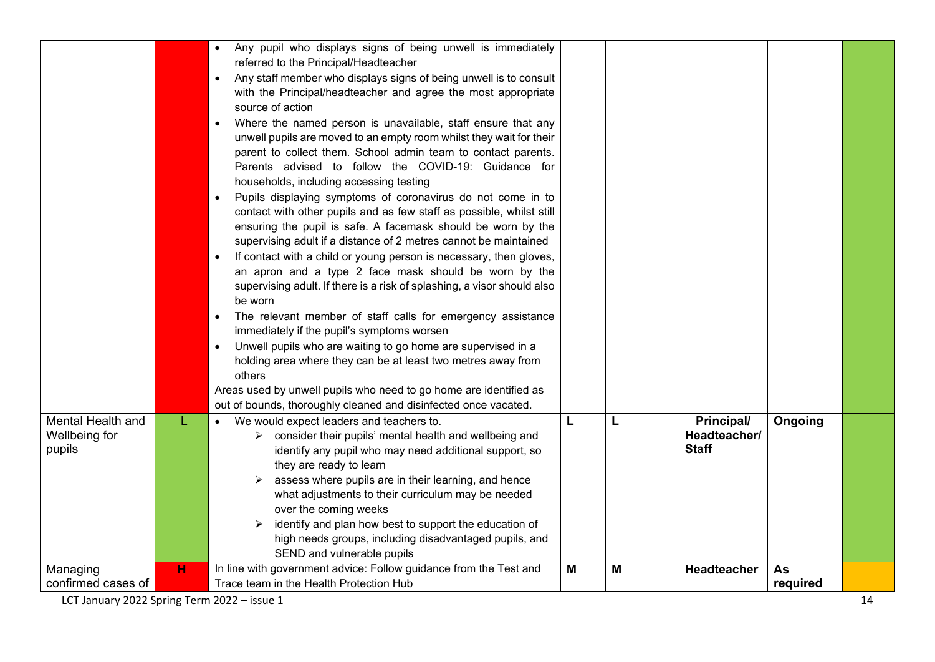|                                              |    | Any pupil who displays signs of being unwell is immediately<br>$\bullet$<br>referred to the Principal/Headteacher<br>Any staff member who displays signs of being unwell is to consult<br>$\bullet$<br>with the Principal/headteacher and agree the most appropriate<br>source of action<br>Where the named person is unavailable, staff ensure that any<br>unwell pupils are moved to an empty room whilst they wait for their<br>parent to collect them. School admin team to contact parents.<br>Parents advised to follow the COVID-19: Guidance for<br>households, including accessing testing<br>Pupils displaying symptoms of coronavirus do not come in to<br>contact with other pupils and as few staff as possible, whilst still<br>ensuring the pupil is safe. A facemask should be worn by the<br>supervising adult if a distance of 2 metres cannot be maintained<br>If contact with a child or young person is necessary, then gloves,<br>an apron and a type 2 face mask should be worn by the<br>supervising adult. If there is a risk of splashing, a visor should also<br>be worn<br>The relevant member of staff calls for emergency assistance<br>immediately if the pupil's symptoms worsen<br>Unwell pupils who are waiting to go home are supervised in a<br>holding area where they can be at least two metres away from<br>others<br>Areas used by unwell pupils who need to go home are identified as<br>out of bounds, thoroughly cleaned and disinfected once vacated. |   |   |                                            |                |  |
|----------------------------------------------|----|----------------------------------------------------------------------------------------------------------------------------------------------------------------------------------------------------------------------------------------------------------------------------------------------------------------------------------------------------------------------------------------------------------------------------------------------------------------------------------------------------------------------------------------------------------------------------------------------------------------------------------------------------------------------------------------------------------------------------------------------------------------------------------------------------------------------------------------------------------------------------------------------------------------------------------------------------------------------------------------------------------------------------------------------------------------------------------------------------------------------------------------------------------------------------------------------------------------------------------------------------------------------------------------------------------------------------------------------------------------------------------------------------------------------------------------------------------------------------------------------------|---|---|--------------------------------------------|----------------|--|
| Mental Health and<br>Wellbeing for<br>pupils | L. | We would expect leaders and teachers to.<br>> consider their pupils' mental health and wellbeing and<br>identify any pupil who may need additional support, so<br>they are ready to learn<br>assess where pupils are in their learning, and hence<br>what adjustments to their curriculum may be needed<br>over the coming weeks<br>identify and plan how best to support the education of<br>high needs groups, including disadvantaged pupils, and<br>SEND and vulnerable pupils                                                                                                                                                                                                                                                                                                                                                                                                                                                                                                                                                                                                                                                                                                                                                                                                                                                                                                                                                                                                                 | L | L | Principal/<br>Headteacher/<br><b>Staff</b> | Ongoing        |  |
| Managing<br>confirmed cases of               | н  | In line with government advice: Follow guidance from the Test and<br>Trace team in the Health Protection Hub                                                                                                                                                                                                                                                                                                                                                                                                                                                                                                                                                                                                                                                                                                                                                                                                                                                                                                                                                                                                                                                                                                                                                                                                                                                                                                                                                                                       | M | M | <b>Headteacher</b>                         | As<br>required |  |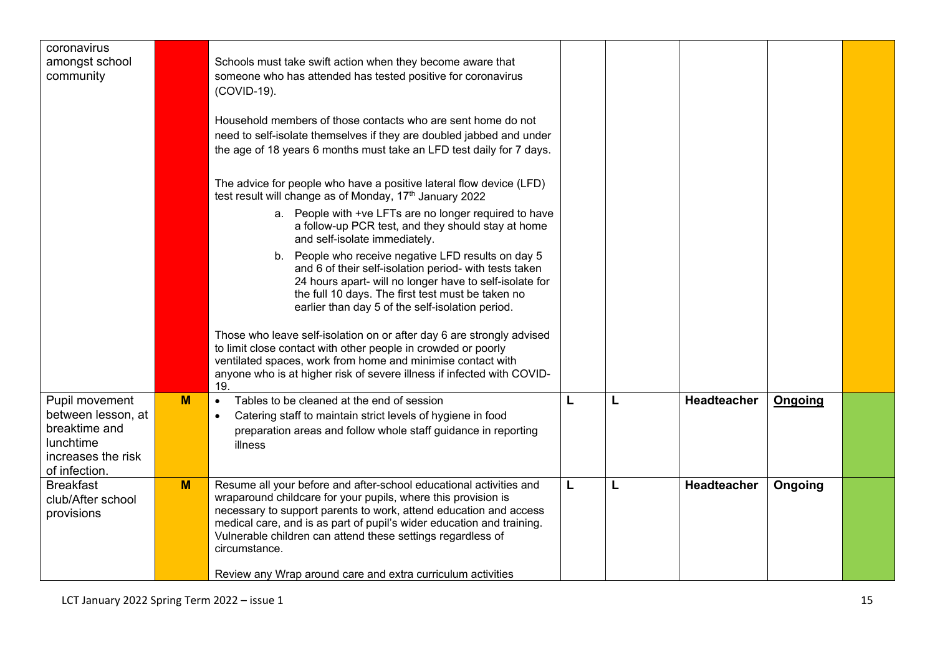| coronavirus<br>amongst school<br>community                                                                |   | Schools must take swift action when they become aware that<br>someone who has attended has tested positive for coronavirus<br>(COVID-19).                                                                                                                                                                                                                         |   |   |                    |         |  |
|-----------------------------------------------------------------------------------------------------------|---|-------------------------------------------------------------------------------------------------------------------------------------------------------------------------------------------------------------------------------------------------------------------------------------------------------------------------------------------------------------------|---|---|--------------------|---------|--|
|                                                                                                           |   | Household members of those contacts who are sent home do not<br>need to self-isolate themselves if they are doubled jabbed and under<br>the age of 18 years 6 months must take an LFD test daily for 7 days.                                                                                                                                                      |   |   |                    |         |  |
|                                                                                                           |   | The advice for people who have a positive lateral flow device (LFD)<br>test result will change as of Monday, 17 <sup>th</sup> January 2022                                                                                                                                                                                                                        |   |   |                    |         |  |
|                                                                                                           |   | a. People with +ve LFTs are no longer required to have<br>a follow-up PCR test, and they should stay at home<br>and self-isolate immediately.                                                                                                                                                                                                                     |   |   |                    |         |  |
|                                                                                                           |   | b. People who receive negative LFD results on day 5<br>and 6 of their self-isolation period- with tests taken<br>24 hours apart- will no longer have to self-isolate for<br>the full 10 days. The first test must be taken no<br>earlier than day 5 of the self-isolation period.                                                                                 |   |   |                    |         |  |
|                                                                                                           |   | Those who leave self-isolation on or after day 6 are strongly advised<br>to limit close contact with other people in crowded or poorly<br>ventilated spaces, work from home and minimise contact with<br>anyone who is at higher risk of severe illness if infected with COVID-<br>19.                                                                            |   |   |                    |         |  |
| Pupil movement<br>between lesson, at<br>breaktime and<br>lunchtime<br>increases the risk<br>of infection. | M | Tables to be cleaned at the end of session<br>$\bullet$<br>Catering staff to maintain strict levels of hygiene in food<br>$\bullet$<br>preparation areas and follow whole staff guidance in reporting<br>illness                                                                                                                                                  | L | L | <b>Headteacher</b> | Ongoing |  |
| <b>Breakfast</b><br>club/After school<br>provisions                                                       | M | Resume all your before and after-school educational activities and<br>wraparound childcare for your pupils, where this provision is<br>necessary to support parents to work, attend education and access<br>medical care, and is as part of pupil's wider education and training.<br>Vulnerable children can attend these settings regardless of<br>circumstance. | L | L | Headteacher        | Ongoing |  |
|                                                                                                           |   | Review any Wrap around care and extra curriculum activities                                                                                                                                                                                                                                                                                                       |   |   |                    |         |  |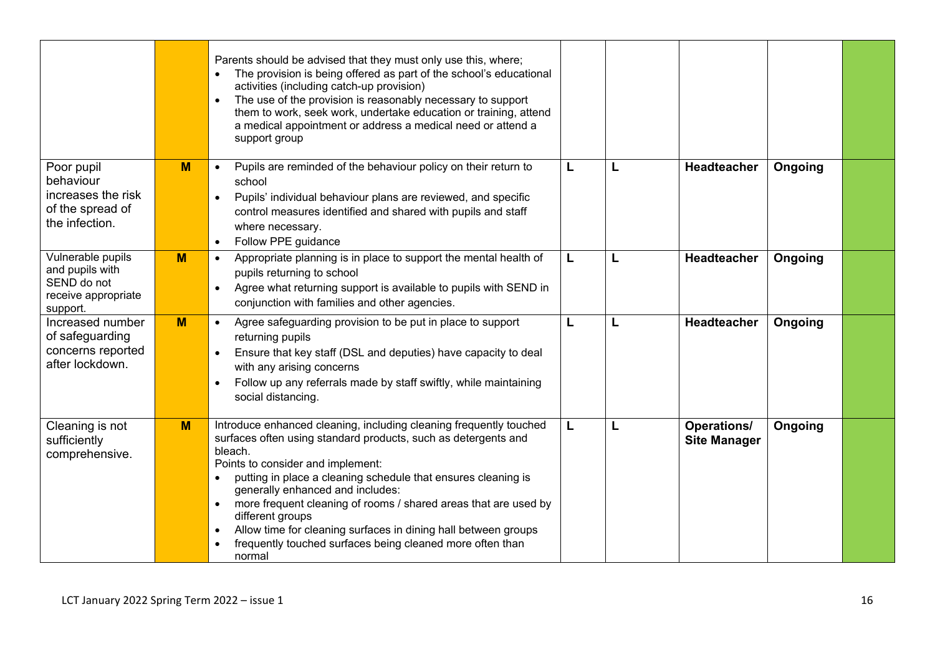|                                                                                        |   | Parents should be advised that they must only use this, where;<br>The provision is being offered as part of the school's educational<br>activities (including catch-up provision)<br>The use of the provision is reasonably necessary to support<br>them to work, seek work, undertake education or training, attend<br>a medical appointment or address a medical need or attend a<br>support group                                                                                                                                                             |   |                                           |         |  |
|----------------------------------------------------------------------------------------|---|------------------------------------------------------------------------------------------------------------------------------------------------------------------------------------------------------------------------------------------------------------------------------------------------------------------------------------------------------------------------------------------------------------------------------------------------------------------------------------------------------------------------------------------------------------------|---|-------------------------------------------|---------|--|
| Poor pupil<br>behaviour<br>increases the risk<br>of the spread of<br>the infection.    | M | Pupils are reminded of the behaviour policy on their return to<br>$\bullet$<br>school<br>Pupils' individual behaviour plans are reviewed, and specific<br>control measures identified and shared with pupils and staff<br>where necessary.<br>Follow PPE guidance<br>$\bullet$                                                                                                                                                                                                                                                                                   | L | Headteacher                               | Ongoing |  |
| Vulnerable pupils<br>and pupils with<br>SEND do not<br>receive appropriate<br>support. | M | Appropriate planning is in place to support the mental health of<br>$\bullet$<br>pupils returning to school<br>Agree what returning support is available to pupils with SEND in<br>$\bullet$<br>conjunction with families and other agencies.                                                                                                                                                                                                                                                                                                                    | L | Headteacher                               | Ongoing |  |
| Increased number<br>of safeguarding<br>concerns reported<br>after lockdown.            | M | Agree safeguarding provision to be put in place to support<br>$\bullet$<br>returning pupils<br>Ensure that key staff (DSL and deputies) have capacity to deal<br>with any arising concerns<br>Follow up any referrals made by staff swiftly, while maintaining<br>social distancing.                                                                                                                                                                                                                                                                             | L | <b>Headteacher</b>                        | Ongoing |  |
| Cleaning is not<br>sufficiently<br>comprehensive.                                      | M | Introduce enhanced cleaning, including cleaning frequently touched<br>surfaces often using standard products, such as detergents and<br>bleach.<br>Points to consider and implement:<br>putting in place a cleaning schedule that ensures cleaning is<br>$\bullet$<br>generally enhanced and includes:<br>more frequent cleaning of rooms / shared areas that are used by<br>$\bullet$<br>different groups<br>Allow time for cleaning surfaces in dining hall between groups<br>$\bullet$<br>frequently touched surfaces being cleaned more often than<br>normal | L | <b>Operations/</b><br><b>Site Manager</b> | Ongoing |  |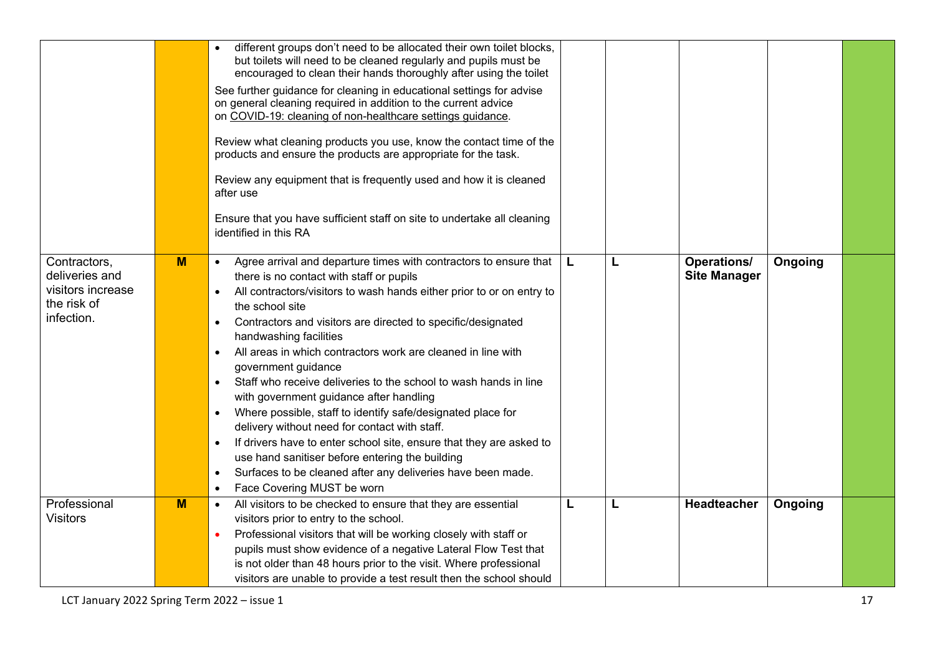|                                                                                  |   | different groups don't need to be allocated their own toilet blocks,<br>but toilets will need to be cleaned regularly and pupils must be<br>encouraged to clean their hands thoroughly after using the toilet                                                                                                                                                                                                                                                                                                                                                                                                                                                                                                                                                                                                                                                                       |          |   |                                           |         |  |
|----------------------------------------------------------------------------------|---|-------------------------------------------------------------------------------------------------------------------------------------------------------------------------------------------------------------------------------------------------------------------------------------------------------------------------------------------------------------------------------------------------------------------------------------------------------------------------------------------------------------------------------------------------------------------------------------------------------------------------------------------------------------------------------------------------------------------------------------------------------------------------------------------------------------------------------------------------------------------------------------|----------|---|-------------------------------------------|---------|--|
|                                                                                  |   | See further guidance for cleaning in educational settings for advise<br>on general cleaning required in addition to the current advice<br>on COVID-19: cleaning of non-healthcare settings guidance.                                                                                                                                                                                                                                                                                                                                                                                                                                                                                                                                                                                                                                                                                |          |   |                                           |         |  |
|                                                                                  |   | Review what cleaning products you use, know the contact time of the<br>products and ensure the products are appropriate for the task.                                                                                                                                                                                                                                                                                                                                                                                                                                                                                                                                                                                                                                                                                                                                               |          |   |                                           |         |  |
|                                                                                  |   | Review any equipment that is frequently used and how it is cleaned<br>after use                                                                                                                                                                                                                                                                                                                                                                                                                                                                                                                                                                                                                                                                                                                                                                                                     |          |   |                                           |         |  |
|                                                                                  |   | Ensure that you have sufficient staff on site to undertake all cleaning<br>identified in this RA                                                                                                                                                                                                                                                                                                                                                                                                                                                                                                                                                                                                                                                                                                                                                                                    |          |   |                                           |         |  |
| Contractors,<br>deliveries and<br>visitors increase<br>the risk of<br>infection. | M | Agree arrival and departure times with contractors to ensure that<br>$\bullet$<br>there is no contact with staff or pupils<br>All contractors/visitors to wash hands either prior to or on entry to<br>$\bullet$<br>the school site<br>Contractors and visitors are directed to specific/designated<br>handwashing facilities<br>All areas in which contractors work are cleaned in line with<br>government guidance<br>Staff who receive deliveries to the school to wash hands in line<br>with government guidance after handling<br>Where possible, staff to identify safe/designated place for<br>$\bullet$<br>delivery without need for contact with staff.<br>If drivers have to enter school site, ensure that they are asked to<br>$\bullet$<br>use hand sanitiser before entering the building<br>Surfaces to be cleaned after any deliveries have been made.<br>$\bullet$ | <b>L</b> | L | <b>Operations/</b><br><b>Site Manager</b> | Ongoing |  |
|                                                                                  |   | Face Covering MUST be worn<br>$\bullet$                                                                                                                                                                                                                                                                                                                                                                                                                                                                                                                                                                                                                                                                                                                                                                                                                                             |          |   |                                           |         |  |
| Professional<br><b>Visitors</b>                                                  | M | All visitors to be checked to ensure that they are essential<br>$\bullet$<br>visitors prior to entry to the school.<br>Professional visitors that will be working closely with staff or<br>pupils must show evidence of a negative Lateral Flow Test that<br>is not older than 48 hours prior to the visit. Where professional                                                                                                                                                                                                                                                                                                                                                                                                                                                                                                                                                      | L        | L | Headteacher                               | Ongoing |  |
|                                                                                  |   | visitors are unable to provide a test result then the school should                                                                                                                                                                                                                                                                                                                                                                                                                                                                                                                                                                                                                                                                                                                                                                                                                 |          |   |                                           |         |  |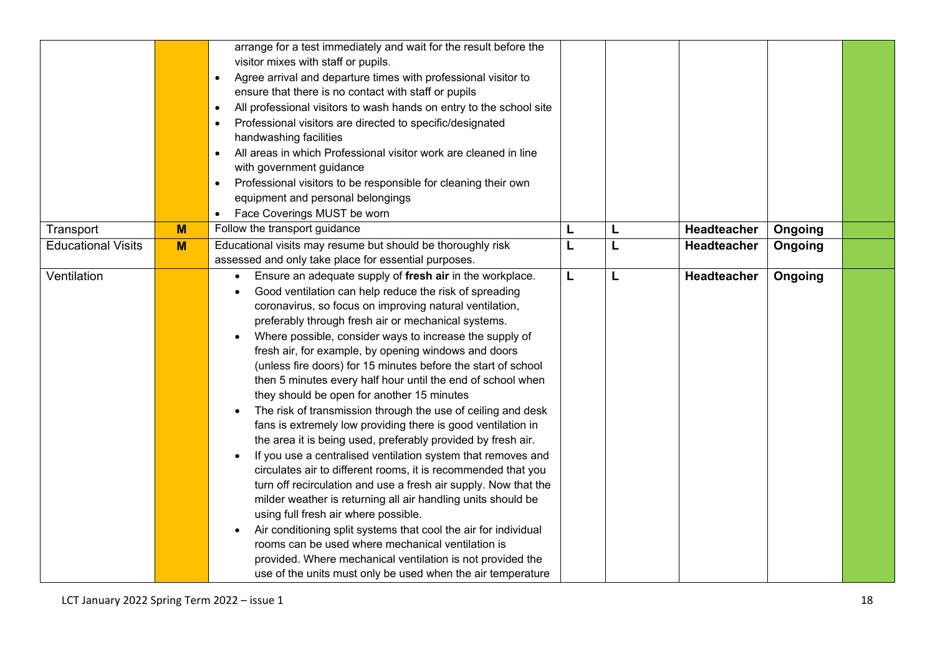|                           |   | arrange for a test immediately and wait for the result before the<br>visitor mixes with staff or pupils.<br>Agree arrival and departure times with professional visitor to<br>$\bullet$<br>ensure that there is no contact with staff or pupils<br>All professional visitors to wash hands on entry to the school site<br>$\bullet$<br>Professional visitors are directed to specific/designated<br>$\bullet$<br>handwashing facilities<br>All areas in which Professional visitor work are cleaned in line<br>with government guidance<br>Professional visitors to be responsible for cleaning their own<br>equipment and personal belongings<br>Face Coverings MUST be worn<br>$\bullet$                                                                                                                                                                                                                                                                                                                                                                                                                                                                                                                                                                                                                          |   |   |             |         |  |
|---------------------------|---|---------------------------------------------------------------------------------------------------------------------------------------------------------------------------------------------------------------------------------------------------------------------------------------------------------------------------------------------------------------------------------------------------------------------------------------------------------------------------------------------------------------------------------------------------------------------------------------------------------------------------------------------------------------------------------------------------------------------------------------------------------------------------------------------------------------------------------------------------------------------------------------------------------------------------------------------------------------------------------------------------------------------------------------------------------------------------------------------------------------------------------------------------------------------------------------------------------------------------------------------------------------------------------------------------------------------|---|---|-------------|---------|--|
| Transport                 | M | Follow the transport guidance                                                                                                                                                                                                                                                                                                                                                                                                                                                                                                                                                                                                                                                                                                                                                                                                                                                                                                                                                                                                                                                                                                                                                                                                                                                                                       | L | L | Headteacher | Ongoing |  |
| <b>Educational Visits</b> | M | Educational visits may resume but should be thoroughly risk<br>assessed and only take place for essential purposes.                                                                                                                                                                                                                                                                                                                                                                                                                                                                                                                                                                                                                                                                                                                                                                                                                                                                                                                                                                                                                                                                                                                                                                                                 | L | L | Headteacher | Ongoing |  |
| Ventilation               |   | Ensure an adequate supply of fresh air in the workplace.<br>$\bullet$<br>Good ventilation can help reduce the risk of spreading<br>coronavirus, so focus on improving natural ventilation,<br>preferably through fresh air or mechanical systems.<br>Where possible, consider ways to increase the supply of<br>fresh air, for example, by opening windows and doors<br>(unless fire doors) for 15 minutes before the start of school<br>then 5 minutes every half hour until the end of school when<br>they should be open for another 15 minutes<br>The risk of transmission through the use of ceiling and desk<br>fans is extremely low providing there is good ventilation in<br>the area it is being used, preferably provided by fresh air.<br>If you use a centralised ventilation system that removes and<br>circulates air to different rooms, it is recommended that you<br>turn off recirculation and use a fresh air supply. Now that the<br>milder weather is returning all air handling units should be<br>using full fresh air where possible.<br>Air conditioning split systems that cool the air for individual<br>rooms can be used where mechanical ventilation is<br>provided. Where mechanical ventilation is not provided the<br>use of the units must only be used when the air temperature | L | L | Headteacher | Ongoing |  |